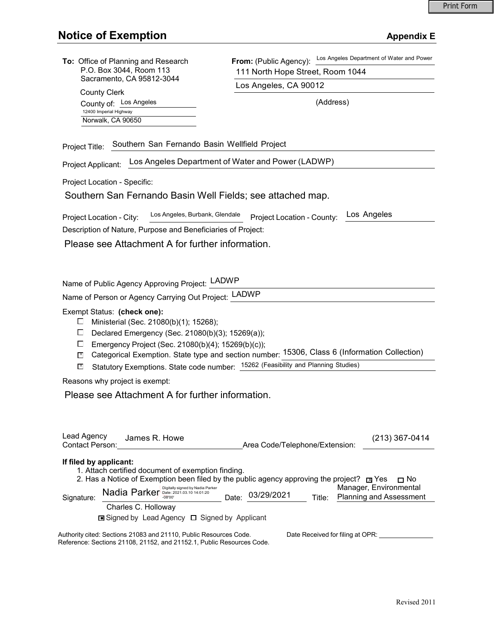| To: Office of Planning and Research<br>P.O. Box 3044, Room 113<br>Sacramento, CA 95812-3044                                                                                                                                                                                                                                                                                                                                   | Los Angeles Department of Water and Power<br>From: (Public Agency):<br>111 North Hope Street, Room 1044  |
|-------------------------------------------------------------------------------------------------------------------------------------------------------------------------------------------------------------------------------------------------------------------------------------------------------------------------------------------------------------------------------------------------------------------------------|----------------------------------------------------------------------------------------------------------|
|                                                                                                                                                                                                                                                                                                                                                                                                                               | Los Angeles, CA 90012                                                                                    |
| <b>County Clerk</b><br>County of: Los Angeles                                                                                                                                                                                                                                                                                                                                                                                 | (Address)                                                                                                |
| 12400 Imperial Highway<br>Norwalk, CA 90650                                                                                                                                                                                                                                                                                                                                                                                   |                                                                                                          |
| Southern San Fernando Basin Wellfield Project<br>Project Title:                                                                                                                                                                                                                                                                                                                                                               |                                                                                                          |
| Los Angeles Department of Water and Power (LADWP)<br>Project Applicant:                                                                                                                                                                                                                                                                                                                                                       |                                                                                                          |
| Project Location - Specific:                                                                                                                                                                                                                                                                                                                                                                                                  |                                                                                                          |
| Southern San Fernando Basin Well Fields; see attached map.                                                                                                                                                                                                                                                                                                                                                                    |                                                                                                          |
| Los Angeles, Burbank, Glendale<br>Project Location - City:                                                                                                                                                                                                                                                                                                                                                                    | Los Angeles<br>Project Location - County:                                                                |
| Description of Nature, Purpose and Beneficiaries of Project:                                                                                                                                                                                                                                                                                                                                                                  |                                                                                                          |
| Please see Attachment A for further information.                                                                                                                                                                                                                                                                                                                                                                              |                                                                                                          |
| Name of Public Agency Approving Project: LADWP<br>Name of Person or Agency Carrying Out Project: LADWP                                                                                                                                                                                                                                                                                                                        |                                                                                                          |
|                                                                                                                                                                                                                                                                                                                                                                                                                               |                                                                                                          |
| Exempt Status: (check one):<br>Ministerial (Sec. 21080(b)(1); 15268);<br>ப<br>ப<br>Declared Emergency (Sec. 21080(b)(3); 15269(a));<br>Emergency Project (Sec. 21080(b)(4); 15269(b)(c));<br>ப<br>Categorical Exemption. State type and section number: 15306, Class 6 (Information Collection)<br>$\mathbb{R}^{\times}$<br>Statutory Exemptions. State code number: 15262 (Feasibility and Planning Studies)<br>$\mathbb{R}$ |                                                                                                          |
| Reasons why project is exempt:                                                                                                                                                                                                                                                                                                                                                                                                |                                                                                                          |
| Please see Attachment A for further information.                                                                                                                                                                                                                                                                                                                                                                              |                                                                                                          |
| Lead Agency<br>James R. Howe<br>Contact Person:                                                                                                                                                                                                                                                                                                                                                                               | $(213)$ 367-0414<br>Area Code/Telephone/Extension:                                                       |
| If filed by applicant:<br>1. Attach certified document of exemption finding.                                                                                                                                                                                                                                                                                                                                                  | 2. Has a Notice of Exemption been filed by the public agency approving the project? $\Box$ Yes $\Box$ No |
| $\textsf{Nadia}$ Parker $\textsf{P}_{\overline{\text{08'100'}}}^{\textsf{Digitally signed by Nadia Parker}}$<br>Signature:                                                                                                                                                                                                                                                                                                    | Manager, Environmental<br>Date: 03/29/2021<br>Title: Planning and Assessment                             |
| Charles C. Holloway<br><b>□</b> Signed by Lead Agency □ Signed by Applicant                                                                                                                                                                                                                                                                                                                                                   |                                                                                                          |
| Authority cited: Sections 21083 and 21110, Public Resources Code.<br>Reference: Sections 21108, 21152, and 21152.1, Public Resources Code.                                                                                                                                                                                                                                                                                    | Date Received for filing at OPR: ________________                                                        |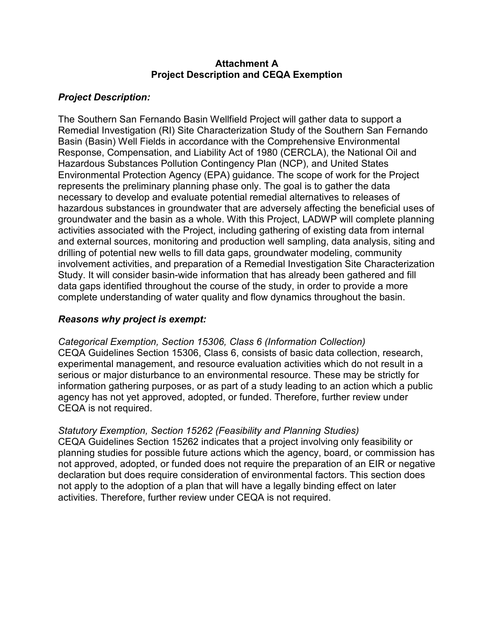#### **Attachment A Project Description and CEQA Exemption**

# *Project Description:*

The Southern San Fernando Basin Wellfield Project will gather data to support a Remedial Investigation (RI) Site Characterization Study of the Southern San Fernando Basin (Basin) Well Fields in accordance with the Comprehensive Environmental Response, Compensation, and Liability Act of 1980 (CERCLA), the National Oil and Hazardous Substances Pollution Contingency Plan (NCP), and United States Environmental Protection Agency (EPA) guidance. The scope of work for the Project represents the preliminary planning phase only. The goal is to gather the data necessary to develop and evaluate potential remedial alternatives to releases of hazardous substances in groundwater that are adversely affecting the beneficial uses of groundwater and the basin as a whole. With this Project, LADWP will complete planning activities associated with the Project, including gathering of existing data from internal and external sources, monitoring and production well sampling, data analysis, siting and drilling of potential new wells to fill data gaps, groundwater modeling, community involvement activities, and preparation of a Remedial Investigation Site Characterization Study. It will consider basin-wide information that has already been gathered and fill data gaps identified throughout the course of the study, in order to provide a more complete understanding of water quality and flow dynamics throughout the basin.

## *Reasons why project is exempt:*

*Categorical Exemption, Section 15306, Class 6 (Information Collection)*  CEQA Guidelines Section 15306, Class 6, consists of basic data collection, research, experimental management, and resource evaluation activities which do not result in a serious or major disturbance to an environmental resource. These may be strictly for information gathering purposes, or as part of a study leading to an action which a public agency has not yet approved, adopted, or funded. Therefore, further review under CEQA is not required.

### *Statutory Exemption, Section 15262 (Feasibility and Planning Studies)*

CEQA Guidelines Section 15262 indicates that a project involving only feasibility or planning studies for possible future actions which the agency, board, or commission has not approved, adopted, or funded does not require the preparation of an EIR or negative declaration but does require consideration of environmental factors. This section does not apply to the adoption of a plan that will have a legally binding effect on later activities. Therefore, further review under CEQA is not required.